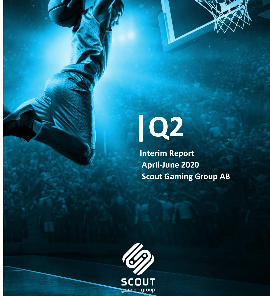

 **Interim Report April-June 2020 Scout Gaming Group AB**

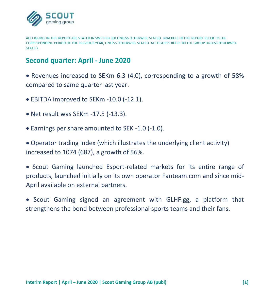

ALL FIGURES IN THIS REPORT ARE STATED IN SWEDISH SEK UNLESS OTHERWISE STATED. BRACKETS IN THIS REPORT REFER TO THE CORRESPONDING PERIOD OF THE PREVIOUS YEAR, UNLESS OTHERWISE STATED. ALL FIGURES REFER TO THE GROUP UNLESS OTHERWISE **STATED.** 

## **Second quarter: April - June 2020**

• Revenues increased to SEKm 6.3 (4.0), corresponding to a growth of 58% compared to same quarter last year.

- EBITDA improved to SEKm -10.0 (-12.1).
- Net result was SEKm -17.5 (-13.3).
- Earnings per share amounted to SEK -1.0 (-1.0).

• Operator trading index (which illustrates the underlying client activity) increased to 1074 (687), a growth of 56%.

• Scout Gaming launched Esport-related markets for its entire range of products, launched initially on its own operator Fanteam.com and since mid-April available on external partners.

• Scout Gaming signed an agreement with GLHF.gg, a platform that strengthens the bond between professional sports teams and their fans.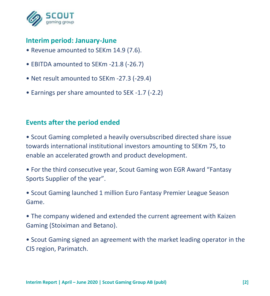

## **Interim period: January-June**

- Revenue amounted to SEKm 14.9 (7.6).
- EBITDA amounted to SEKm -21.8 (-26.7)
- Net result amounted to SEKm -27.3 (-29.4)
- Earnings per share amounted to SEK -1.7 (-2.2)

## **Events after the period ended**

• Scout Gaming completed a heavily oversubscribed directed share issue towards international institutional investors amounting to SEKm 75, to enable an accelerated growth and product development.

• For the third consecutive year, Scout Gaming won EGR Award "Fantasy Sports Supplier of the year".

• Scout Gaming launched 1 million Euro Fantasy Premier League Season Game.

• The company widened and extended the current agreement with Kaizen Gaming (Stoiximan and Betano).

• Scout Gaming signed an agreement with the market leading operator in the CIS region, Parimatch.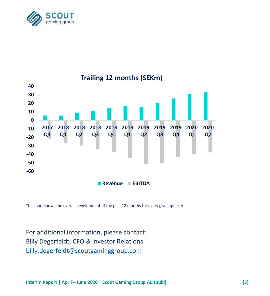



The chart shows the overall development of the past 12 months for every given quarter.

For additional information, please contact: Billy Degerfeldt, CFO & Investor Relations [billy.degerfeldt@scoutgaminggroup.com](mailto:billy.degerfeldt@scoutgaminggroup.com)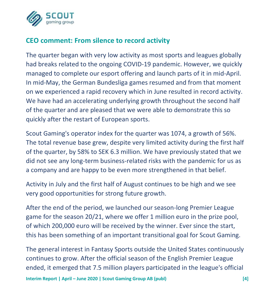

## **CEO comment: From silence to record activity**

The quarter began with very low activity as most sports and leagues globally had breaks related to the ongoing COVID-19 pandemic. However, we quickly managed to complete our esport offering and launch parts of it in mid-April. In mid-May, the German Bundesliga games resumed and from that moment on we experienced a rapid recovery which in June resulted in record activity. We have had an accelerating underlying growth throughout the second half of the quarter and are pleased that we were able to demonstrate this so quickly after the restart of European sports.

Scout Gaming's operator index for the quarter was 1074, a growth of 56%. The total revenue base grew, despite very limited activity during the first half of the quarter, by 58% to SEK 6.3 million. We have previously stated that we did not see any long-term business-related risks with the pandemic for us as a company and are happy to be even more strengthened in that belief.

Activity in July and the first half of August continues to be high and we see very good opportunities for strong future growth.

After the end of the period, we launched our season-long Premier League game for the season 20/21, where we offer 1 million euro in the prize pool, of which 200,000 euro will be received by the winner. Ever since the start, this has been something of an important transitional goal for Scout Gaming.

The general interest in Fantasy Sports outside the United States continuously continues to grow. After the official season of the English Premier League ended, it emerged that 7.5 million players participated in the league's official

**Interim Report | April – June 2020 | Scout Gaming Group AB (publ) [4]**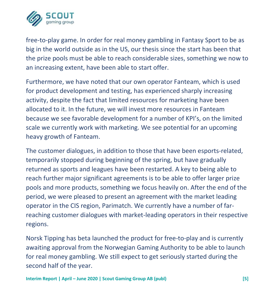

free-to-play game. In order for real money gambling in Fantasy Sport to be as big in the world outside as in the US, our thesis since the start has been that the prize pools must be able to reach considerable sizes, something we now to an increasing extent, have been able to start offer.

Furthermore, we have noted that our own operator Fanteam, which is used for product development and testing, has experienced sharply increasing activity, despite the fact that limited resources for marketing have been allocated to it. In the future, we will invest more resources in Fanteam because we see favorable development for a number of KPI's, on the limited scale we currently work with marketing. We see potential for an upcoming heavy growth of Fanteam.

The customer dialogues, in addition to those that have been esports-related, temporarily stopped during beginning of the spring, but have gradually returned as sports and leagues have been restarted. A key to being able to reach further major significant agreements is to be able to offer larger prize pools and more products, something we focus heavily on. After the end of the period, we were pleased to present an agreement with the market leading operator in the CIS region, Parimatch. We currently have a number of farreaching customer dialogues with market-leading operators in their respective regions.

Norsk Tipping has beta launched the product for free-to-play and is currently awaiting approval from the Norwegian Gaming Authority to be able to launch for real money gambling. We still expect to get seriously started during the second half of the year.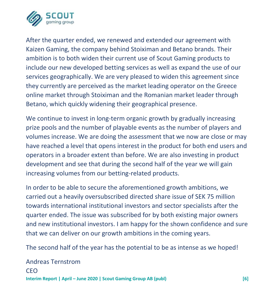

After the quarter ended, we renewed and extended our agreement with Kaizen Gaming, the company behind Stoiximan and Betano brands. Their ambition is to both widen their current use of Scout Gaming products to include our new developed betting services as well as expand the use of our services geographically. We are very pleased to widen this agreement since they currently are perceived as the market leading operator on the Greece online market through Stoiximan and the Romanian market leader through Betano, which quickly widening their geographical presence.

We continue to invest in long-term organic growth by gradually increasing prize pools and the number of playable events as the number of players and volumes increase. We are doing the assessment that we now are close or may have reached a level that opens interest in the product for both end users and operators in a broader extent than before. We are also investing in product development and see that during the second half of the year we will gain increasing volumes from our betting-related products.

In order to be able to secure the aforementioned growth ambitions, we carried out a heavily oversubscribed directed share issue of SEK 75 million towards international institutional investors and sector specialists after the quarter ended. The issue was subscribed for by both existing major owners and new institutional investors. I am happy for the shown confidence and sure that we can deliver on our growth ambitions in the coming years.

The second half of the year has the potential to be as intense as we hoped!

**Interim Report | April – June 2020 | Scout Gaming Group AB (publ) [6]** Andreas Ternstrom **CEO**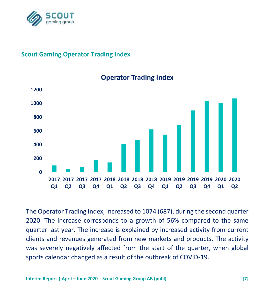

#### **Scout Gaming Operator Trading Index**



### **Operator Trading Index**

The Operator Trading Index, increased to 1074 (687), during the second quarter 2020. The increase corresponds to a growth of 56% compared to the same quarter last year. The increase is explained by increased activity from current clients and revenues generated from new markets and products. The activity was severely negatively affected from the start of the quarter, when global sports calendar changed as a result of the outbreak of COVID-19.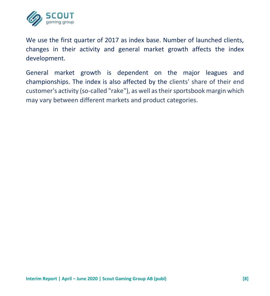

We use the first quarter of 2017 as index base. Number of launched clients, changes in their activity and general market growth affects the index development.

General market growth is dependent on the major leagues and championships. The index is also affected by the clients' share of their end customer's activity (so-called "rake"), as well as their sportsbook margin which may vary between different markets and product categories.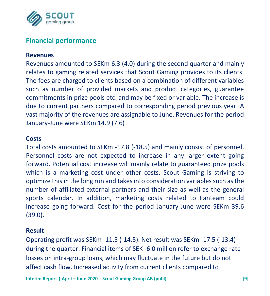

## **Financial performance**

#### **Revenues**

Revenues amounted to SEKm 6.3 (4.0) during the second quarter and mainly relates to gaming related services that Scout Gaming provides to its clients. The fees are charged to clients based on a combination of different variables such as number of provided markets and product categories, guarantee commitments in prize pools etc. and may be fixed or variable. The increase is due to current partners compared to corresponding period previous year. A vast majority of the revenues are assignable to June. Revenues for the period January-June were SEKm 14.9 (7.6)

#### **Costs**

Total costs amounted to SEKm -17.8 (-18.5) and mainly consist of personnel. Personnel costs are not expected to increase in any larger extent going forward. Potential cost increase will mainly relate to guaranteed prize pools which is a marketing cost under other costs. Scout Gaming is striving to optimize this in the long run and takes into consideration variables such as the number of affiliated external partners and their size as well as the general sports calendar. In addition, marketing costs related to Fanteam could increase going forward. Cost for the period January-June were SEKm 39.6 (39.0).

#### **Result**

Operating profit was SEKm -11.5 (-14.5). Net result was SEKm -17.5 (-13.4) during the quarter. Financial items of SEK -6.0 million refer to exchange rate losses on intra-group loans, which may fluctuate in the future but do not affect cash flow. Increased activity from current clients compared to

**Interim Report | April – June 2020 | Scout Gaming Group AB (publ) [9]**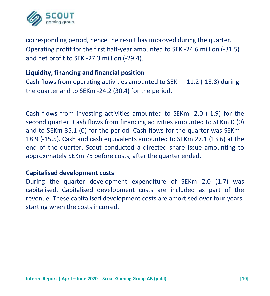

corresponding period, hence the result has improved during the quarter. Operating profit for the first half-year amounted to SEK -24.6 million (-31.5) and net profit to SEK -27.3 million (-29.4).

#### **Liquidity, financing and financial position**

Cash flows from operating activities amounted to SEKm -11.2 (-13.8) during the quarter and to SEKm -24.2 (30.4) for the period.

Cash flows from investing activities amounted to SEKm -2.0 (-1.9) for the second quarter. Cash flows from financing activities amounted to SEKm 0 (0) and to SEKm 35.1 (0) for the period. Cash flows for the quarter was SEKm - 18.9 (-15.5). Cash and cash equivalents amounted to SEKm 27.1 (13.6) at the end of the quarter. Scout conducted a directed share issue amounting to approximately SEKm 75 before costs, after the quarter ended.

#### **Capitalised development costs**

During the quarter development expenditure of SEKm 2.0 (1.7) was capitalised. Capitalised development costs are included as part of the revenue. These capitalised development costs are amortised over four years, starting when the costs incurred.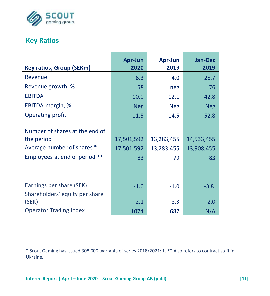

## **Key Ratios**

|                                 | Apr-Jun    | Apr-Jun    | <b>Jan-Dec</b> |
|---------------------------------|------------|------------|----------------|
| <b>Key ratios, Group (SEKm)</b> | 2020       | 2019       | 2019           |
| Revenue                         | 6.3        | 4.0        | 25.7           |
| Revenue growth, %               | 58         | neg        | 76             |
| <b>EBITDA</b>                   | $-10.0$    | $-12.1$    | $-42.8$        |
| EBITDA-margin, %                | <b>Neg</b> | <b>Neg</b> | <b>Neg</b>     |
| Operating profit                | $-11.5$    | $-14.5$    | $-52.8$        |
|                                 |            |            |                |
| Number of shares at the end of  |            |            |                |
| the period                      | 17,501,592 | 13,283,455 | 14,533,455     |
| Average number of shares *      | 17,501,592 | 13,283,455 | 13,908,455     |
| Employees at end of period **   | 83         | 79         | 83             |
|                                 |            |            |                |
|                                 |            |            |                |
| Earnings per share (SEK)        | $-1.0$     | $-1.0$     | $-3.8$         |
| Shareholders' equity per share  |            |            |                |
| (SEK)                           | 2.1        | 8.3        | 2.0            |
| <b>Operator Trading Index</b>   | 1074       | 687        | N/A            |

\* Scout Gaming has issued 308,000 warrants of series 2018/2021: 1. \*\* Also refers to contract staff in Ukraine.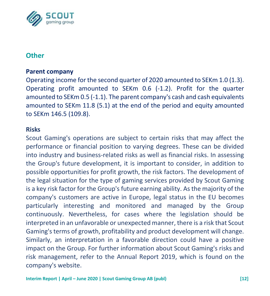

## **Other**

#### **Parent company**

Operating income for the second quarter of 2020 amounted to SEKm 1.0 (1.3). Operating profit amounted to SEKm 0.6 (-1.2). Profit for the quarter amounted to SEKm 0.5 (-1.1). The parent company's cash and cash equivalents amounted to SEKm 11.8 (5.1) at the end of the period and equity amounted to SEKm 146.5 (109.8).

#### **Risks**

Scout Gaming's operations are subject to certain risks that may affect the performance or financial position to varying degrees. These can be divided into industry and business-related risks as well as financial risks. In assessing the Group's future development, it is important to consider, in addition to possible opportunities for profit growth, the risk factors. The development of the legal situation for the type of gaming services provided by Scout Gaming is a key risk factor for the Group's future earning ability. As the majority of the company's customers are active in Europe, legal status in the EU becomes particularly interesting and monitored and managed by the Group continuously. Nevertheless, for cases where the legislation should be interpreted in an unfavorable or unexpected manner, there is a risk that Scout Gaming's terms of growth, profitability and product development will change. Similarly, an interpretation in a favorable direction could have a positive impact on the Group. For further information about Scout Gaming's risks and risk management, refer to the Annual Report 2019, which is found on the company's website.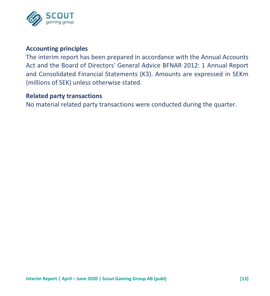

#### **Accounting principles**

The interim report has been prepared in accordance with the Annual Accounts Act and the Board of Directors' General Advice BFNAR 2012: 1 Annual Report and Consolidated Financial Statements (K3). Amounts are expressed in SEKm (millions of SEK) unless otherwise stated.

#### **Related party transactions**

No material related party transactions were conducted during the quarter.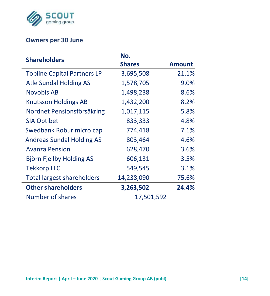

## **Owners per 30 June**

| <b>Shareholders</b>                | No.           |        |
|------------------------------------|---------------|--------|
|                                    | <b>Shares</b> | Amount |
| <b>Topline Capital Partners LP</b> | 3,695,508     | 21.1%  |
| <b>Atle Sundal Holding AS</b>      | 1,578,705     | 9.0%   |
| Novobis AB                         | 1,498,238     | 8.6%   |
| <b>Knutsson Holdings AB</b>        | 1,432,200     | 8.2%   |
| Nordnet Pensionsförsäkring         | 1,017,115     | 5.8%   |
| <b>SIA Optibet</b>                 | 833,333       | 4.8%   |
| Swedbank Robur micro cap           | 774,418       | 7.1%   |
| <b>Andreas Sundal Holding AS</b>   | 803,464       | 4.6%   |
| <b>Avanza Pension</b>              | 628,470       | 3.6%   |
| Björn Fjellby Holding AS           | 606,131       | 3.5%   |
| <b>Tekkorp LLC</b>                 | 549,545       | 3.1%   |
| <b>Total largest shareholders</b>  | 14,238,090    | 75.6%  |
| <b>Other shareholders</b>          | 3,263,502     | 24.4%  |
| Number of shares                   | 17,501,592    |        |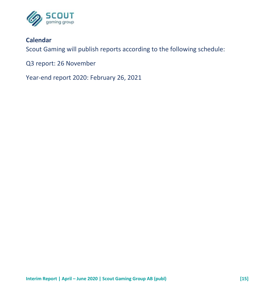

## **Calendar**

Scout Gaming will publish reports according to the following schedule:

Q3 report: 26 November

Year-end report 2020: February 26, 2021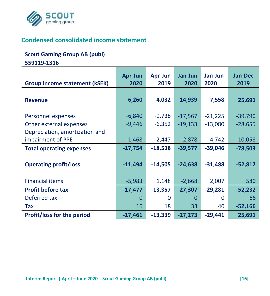

## **Condensed consolidated income statement**

#### **Scout Gaming Group AB (publ)**

**559119-1316**

|                                      | Apr-Jun   | Apr-Jun   | Jan-Jun   | Jan-Jun   | <b>Jan-Dec</b> |
|--------------------------------------|-----------|-----------|-----------|-----------|----------------|
| <b>Group income statement (kSEK)</b> | 2020      | 2019      | 2020      | 2020      | 2019           |
|                                      |           |           |           |           |                |
| <b>Revenue</b>                       | 6,260     | 4,032     | 14,939    | 7,558     | 25,691         |
| Personnel expenses                   | $-6,840$  | $-9,738$  | $-17,567$ | $-21,225$ | $-39,790$      |
|                                      | $-9,446$  | $-6,352$  |           |           |                |
| Other external expenses              |           |           | $-19,133$ | $-13,080$ | $-28,655$      |
| Depreciation, amortization and       |           |           |           |           |                |
| impairment of PPE                    | $-1,468$  | $-2,447$  | $-2,878$  | $-4,742$  | $-10,058$      |
| <b>Total operating expenses</b>      | $-17,754$ | $-18,538$ | $-39,577$ | $-39,046$ | $-78,503$      |
|                                      |           |           |           |           |                |
| <b>Operating profit/loss</b>         | $-11,494$ | $-14,505$ | $-24,638$ | $-31,488$ | $-52,812$      |
|                                      |           |           |           |           |                |
| <b>Financial items</b>               | $-5,983$  | 1,148     | $-2,668$  | 2,007     | 580            |
| <b>Profit before tax</b>             | $-17,477$ | $-13,357$ | $-27,307$ | $-29,281$ | $-52,232$      |
| Deferred tax                         | 0         | 0         | $\Omega$  | O         | 66             |
| Tax                                  | 16        | 18        | 33        | 40        | $-52,166$      |
| <b>Profit/loss for the period</b>    | $-17,461$ | $-13,339$ | $-27,273$ | $-29,441$ | 25,691         |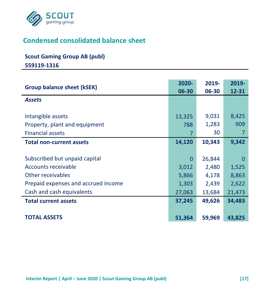

# **Condensed consolidated balance sheet**

## **Scout Gaming Group AB (publ)**

**559119-1316**

| <b>Group balance sheet (kSEK)</b>   | 2020-<br>06-30 | 2019-<br>06-30 | 2019-<br>12-31 |
|-------------------------------------|----------------|----------------|----------------|
| <b>Assets</b>                       |                |                |                |
|                                     |                |                |                |
| Intangible assets                   | 13,325         | 9,031          | 8,425          |
| Property, plant and equipment       | 788            | 1,283          | 909            |
| <b>Financial assets</b>             | 7              | 30             | 7              |
| <b>Total non-current assets</b>     | 14,120         | 10,343         | 9,342          |
|                                     |                |                |                |
| Subscribed but unpaid capital       | 0              | 26,844         | 0              |
| Accounts receivable                 | 3,012          | 2,480          | 1,525          |
| Other receivables                   | 5,866          | 4,178          | 8,863          |
| Prepaid expenses and accrued income | 1,303          | 2,439          | 2,622          |
| Cash and cash equivalents           | 27,063         | 13,684         | 21,473         |
| <b>Total current assets</b>         | 37,245         | 49,626         | 34,483         |
|                                     |                |                |                |
| <b>TOTAL ASSETS</b>                 | 51,364         | 59,969         | 43,825         |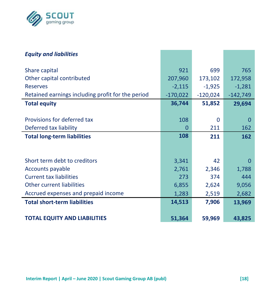

| <b>Equity and liabilities</b>                     |            |            |            |
|---------------------------------------------------|------------|------------|------------|
| Share capital                                     | 921        | 699        | 765        |
| Other capital contributed                         | 207,960    | 173,102    | 172,958    |
| <b>Reserves</b>                                   | $-2,115$   | $-1,925$   | $-1,281$   |
| Retained earnings including profit for the period | $-170,022$ | $-120,024$ | $-142,749$ |
| <b>Total equity</b>                               | 36,744     | 51,852     | 29,694     |
|                                                   |            |            |            |
| Provisions for deferred tax                       | 108        | O          | 0          |
| Deferred tax liability                            | 0          | 211        | 162        |
| <b>Total long-term liabilities</b>                | 108        | 211        | 162        |
|                                                   |            |            |            |
|                                                   |            |            |            |
| Short term debt to creditors                      | 3,341      | 42         | O          |
| Accounts payable                                  | 2,761      | 2,346      | 1,788      |
| <b>Current tax liabilities</b>                    | 273        | 374        | 444        |
| Other current liabilities                         | 6,855      | 2,624      | 9,056      |
| Accrued expenses and prepaid income               | 1,283      | 2,519      | 2,682      |
| <b>Total short-term liabilities</b>               | 14,513     | 7,906      | 13,969     |
|                                                   |            |            |            |
| <b>TOTAL EQUITY AND LIABILITIES</b>               | 51,364     | 59,969     | 43,825     |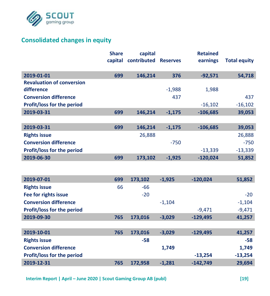

# **Consolidated changes in equity**

|                                   | <b>Share</b> | capital     |                 | <b>Retained</b> |                     |
|-----------------------------------|--------------|-------------|-----------------|-----------------|---------------------|
|                                   | capital      | contributed | <b>Reserves</b> | earnings        | <b>Total equity</b> |
| 2019-01-01                        | 699          | 146,214     | 376             | $-92,571$       | 54,718              |
| <b>Revaluation of conversion</b>  |              |             |                 |                 |                     |
| difference                        |              |             | $-1,988$        | 1,988           |                     |
| <b>Conversion difference</b>      |              |             | 437             |                 | 437                 |
| Profit/loss for the period        |              |             |                 | $-16,102$       | $-16,102$           |
| 2019-03-31                        | 699          | 146,214     | $-1,175$        | $-106,685$      | 39,053              |
|                                   |              |             |                 |                 |                     |
| 2019-03-31                        | 699          | 146,214     | $-1,175$        | $-106,685$      | 39,053              |
| <b>Rights issue</b>               |              | 26,888      |                 |                 | 26,888              |
| <b>Conversion difference</b>      |              |             | $-750$          |                 | $-750$              |
| Profit/loss for the period        |              |             |                 | $-13,339$       | $-13,339$           |
| 2019-06-30                        | 699          | 173,102     | $-1,925$        | $-120,024$      | 51,852              |
|                                   |              |             |                 |                 |                     |
| 2019-07-01                        | 699          | 173,102     | $-1.925$        | $-120,024$      | 51,852              |
| <b>Rights issue</b>               | 66           | $-66$       |                 |                 |                     |
| Fee for rights issue              |              | $-20$       |                 |                 | $-20$               |
| <b>Conversion difference</b>      |              |             | $-1,104$        |                 | $-1,104$            |
| <b>Profit/loss for the period</b> |              |             |                 | $-9,471$        | $-9,471$            |
| 2019-09-30                        | 765          | 173,016     | $-3,029$        | $-129,495$      | 41,257              |
|                                   |              |             |                 |                 |                     |
| 2019-10-01                        | 765          | 173,016     | $-3,029$        | $-129,495$      | 41,257              |
| <b>Rights issue</b>               |              | $-58$       |                 |                 | -58                 |
| <b>Conversion difference</b>      |              |             | 1,749           |                 | 1,749               |
| Profit/loss for the period        |              |             |                 | $-13,254$       | $-13,254$           |
| 2019-12-31                        | 765          | 172,958     | $-1,281$        | $-142,749$      | 29,694              |

**Interim Report | April – June 2020 | Scout Gaming Group AB (publ) [19]**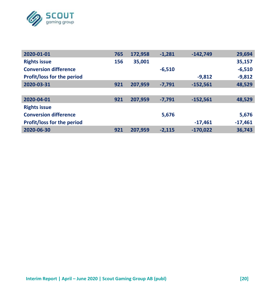

| 2020-01-01                   | 765 | 172,958 | $-1.281$ | $-142,749$ | 29,694    |
|------------------------------|-----|---------|----------|------------|-----------|
| <b>Rights issue</b>          | 156 | 35,001  |          |            | 35,157    |
| <b>Conversion difference</b> |     |         | $-6,510$ |            | $-6,510$  |
| Profit/loss for the period   |     |         |          | $-9,812$   | $-9,812$  |
| 2020-03-31                   | 921 | 207,959 | $-7,791$ | $-152,561$ | 48,529    |
|                              |     |         |          |            |           |
| 2020-04-01                   | 921 | 207,959 | $-7,791$ | $-152,561$ | 48,529    |
| <b>Rights issue</b>          |     |         |          |            |           |
| <b>Conversion difference</b> |     |         | 5,676    |            | 5,676     |
| Profit/loss for the period   |     |         |          | $-17,461$  | $-17,461$ |
| 2020-06-30                   | 921 | 207,959 | $-2,115$ | $-170,022$ | 36,743    |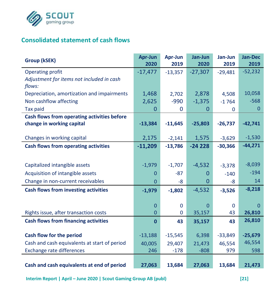

### **Consolidated statement of cash flows**

| Group (kSEK)                                 | Apr-Jun<br>2020 | Apr-Jun<br>2019 | Jan-Jun<br>2020 | Jan-Jun<br>2019 | Jan-Dec<br>2019 |
|----------------------------------------------|-----------------|-----------------|-----------------|-----------------|-----------------|
| Operating profit                             | $-17,477$       | $-13,357$       | $-27,307$       | $-29,481$       | $-52,232$       |
| Adjustment for items not included in cash    |                 |                 |                 |                 |                 |
| flows:                                       |                 |                 |                 |                 |                 |
| Depreciation, amortization and impairments   | 1,468           | 2,702           | 2,878           | 4,508           | 10,058          |
| Non cashflow affecting                       | 2,625           | $-990$          | $-1,375$        | $-1764$         | $-568$          |
| <b>Tax paid</b>                              | 0               | 0               | 0               | $\Omega$        | $\Omega$        |
| Cash flows from operating activities before  |                 |                 |                 |                 |                 |
| change in working capital                    | $-13,384$       | $-11,645$       | $-25,803$       | $-26,737$       | $-42,741$       |
| Changes in working capital                   | 2,175           | $-2,141$        | 1,575           | $-3,629$        | $-1,530$        |
| Cash flows from operating activities         | $-11,209$       | $-13,786$       | $-24228$        | $-30,366$       | $-44,271$       |
|                                              |                 |                 |                 |                 |                 |
| Capitalized intangible assets                | $-1,979$        | $-1,707$        | $-4,532$        | $-3,378$        | $-8,039$        |
| Acquisition of intangible assets             | 0               | $-87$           | 0               | $-140$          | $-194$          |
| Change in non-current receivables            | $\Omega$        | -8              | 0               | $-8$            | 14              |
| <b>Cash flows from investing activities</b>  | $-1,979$        | $-1,802$        | $-4,532$        | $-3,526$        | $-8,218$        |
|                                              | $\Omega$        | $\Omega$        | $\Omega$        | $\Omega$        | 0               |
| Rights issue, after transaction costs        | $\mathbf{0}$    | 0               | 35,157          | 43              | 26,810          |
| <b>Cash flows from financing activities</b>  | $\mathbf{0}$    | 43              | 35,157          | 43              | 26,810          |
|                                              |                 |                 |                 |                 |                 |
| Cash flow for the period                     | $-13,188$       | $-15,545$       | 6,398           | $-33,849$       | $-25,679$       |
| Cash and cash equivalents at start of period | 40,005          | 29,407          | 21,473          | 46,554          | 46,554          |
| Exchange rate differences                    | 246             | $-178$          | $-808$          | 979             | 598             |
|                                              |                 |                 |                 |                 |                 |
| Cash and cash equivalents at end of period   | 27,063          | 13,684          | 27,063          | 13,684          | 21,473          |

**Interim Report | April – June 2020 | Scout Gaming Group AB (publ) [21]**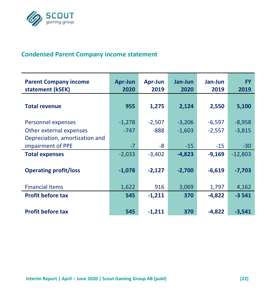

## **Condensed Parent Company income statement**

| <b>Parent Company income</b><br>statement (kSEK)                                | Apr-Jun<br>2020    | Apr-Jun<br>2019    | Jan-Jun<br>2020      | Jan-Jun<br>2019      | <b>FY</b><br>2019    |
|---------------------------------------------------------------------------------|--------------------|--------------------|----------------------|----------------------|----------------------|
| <b>Total revenue</b>                                                            | 955                | 1,275              | 2,124                | 2,550                | 5,100                |
| Personnel expenses<br>Other external expenses<br>Depreciation, amortization and | $-1,278$<br>$-747$ | $-2,507$<br>$-888$ | $-3,206$<br>$-1,603$ | $-6,597$<br>$-2,557$ | $-8,958$<br>$-3,815$ |
| impairment of PPE                                                               | $-7$               | -8                 | $-15$                | $-15$                | $-30$                |
| <b>Total expenses</b>                                                           | $-2,033$           | $-3,402$           | $-4,823$             | $-9,169$             | $-12,803$            |
| <b>Operating profit/loss</b>                                                    | $-1,078$           | $-2,127$           | $-2,700$             | $-6,619$             | $-7,703$             |
| <b>Financial items</b>                                                          | 1,622              | 916                | 3,069                | 1,797                | 4,162                |
| <b>Profit before tax</b>                                                        | 545                | $-1,211$           | 370                  | $-4,822$             | $-3541$              |
| <b>Profit before tax</b>                                                        | 545                | $-1,211$           | 370                  | $-4,822$             | $-3,541$             |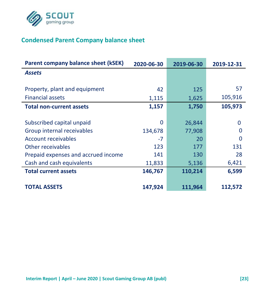

## **Condensed Parent Company balance sheet**

| Parent company balance sheet (kSEK) | 2020-06-30 | 2019-06-30 | 2019-12-31 |
|-------------------------------------|------------|------------|------------|
| <b>Assets</b>                       |            |            |            |
|                                     |            |            |            |
| Property, plant and equipment       | 42         | 125        | 57         |
| <b>Financial assets</b>             | 1,115      | 1,625      | 105,916    |
| <b>Total non-current assets</b>     | 1,157      | 1,750      | 105,973    |
|                                     |            |            |            |
| Subscribed capital unpaid           | $\Omega$   | 26,844     | 0          |
| Group internal receivables          | 134,678    | 77,908     | O          |
| Account receivables                 | $-7$       | 20         | O          |
| Other receivables                   | 123        | 177        | 131        |
| Prepaid expenses and accrued income | 141        | 130        | 28         |
| Cash and cash equivalents           | 11,833     | 5,136      | 6,421      |
| <b>Total current assets</b>         | 146,767    | 110,214    | 6,599      |
|                                     |            |            |            |
| <b>TOTAL ASSETS</b>                 | 147,924    | 111,964    | 112,572    |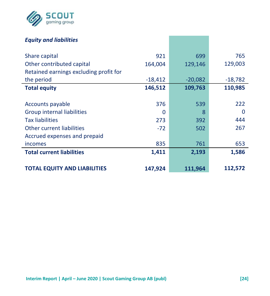

### *Equity and liabilities*

| Share capital                          | 921       | 699       | 765       |
|----------------------------------------|-----------|-----------|-----------|
| Other contributed capital              | 164,004   | 129,146   | 129,003   |
| Retained earnings excluding profit for |           |           |           |
| the period                             | $-18,412$ | $-20,082$ | $-18,782$ |
| <b>Total equity</b>                    | 146,512   | 109,763   | 110,985   |
|                                        |           |           |           |
| Accounts payable                       | 376       | 539       | 222       |
| Group internal liabilities             | 0         | 8         | 0         |
| <b>Tax liabilities</b>                 | 273       | 392       | 444       |
| Other current liabilities              | $-72$     | 502       | 267       |
| Accrued expenses and prepaid           |           |           |           |
| incomes                                | 835       | 761       | 653       |
| <b>Total current liabilities</b>       | 1,411     | 2,193     | 1,586     |
|                                        |           |           |           |
| TOTAL EQUITY AND LIABILITIES           | 147,924   | 111,964   | 112,572   |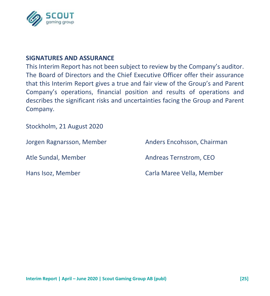

#### **SIGNATURES AND ASSURANCE**

This Interim Report has not been subject to review by the Company's auditor. The Board of Directors and the Chief Executive Officer offer their assurance that this Interim Report gives a true and fair view of the Group's and Parent Company's operations, financial position and results of operations and describes the significant risks and uncertainties facing the Group and Parent Company.

Stockholm, 21 August 2020

Jorgen Ragnarsson, Member Anders Encohsson, Chairman Atle Sundal, Member Andreas Ternstrom, CEO Hans Isoz, Member Carla Maree Vella, Member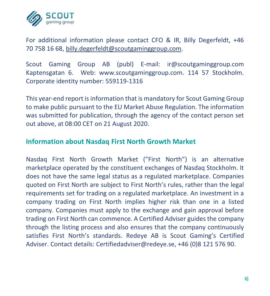

For additional information please contact CFO & IR, Billy Degerfeldt, +46 70 758 16 68, [billy.degerfeldt@scoutgaminggroup.com.](mailto:billy.degerfeldt@scoutgaminggroup.com)

Scout Gaming Group AB (publ) E-mail: ir@scoutgaminggroup.com Kaptensgatan 6. Web: www.scoutgaminggroup.com. 114 57 Stockholm. Corporate identity number: 559119-1316

This year-end report is information that is mandatory for Scout Gaming Group to make public pursuant to the EU Market Abuse Regulation. The information was submitted for publication, through the agency of the contact person set out above, at 08:00 CET on 21 August 2020.

#### **Information about Nasdaq First North Growth Market**

Nasdaq First North Growth Market ("First North") is an alternative marketplace operated by the constituent exchanges of Nasdaq Stockholm. It does not have the same legal status as a regulated marketplace. Companies quoted on First North are subject to First North's rules, rather than the legal requirements set for trading on a regulated marketplace. An investment in a company trading on First North implies higher risk than one in a listed company. Companies must apply to the exchange and gain approval before trading on First North can commence. A Certified Adviser guides the company through the listing process and also ensures that the company continuously satisfies First North's standards. Redeye AB is Scout Gaming's Certified Adviser. Contact details: Certifiedadviser@redeye.se, +46 (0)8 121 576 90.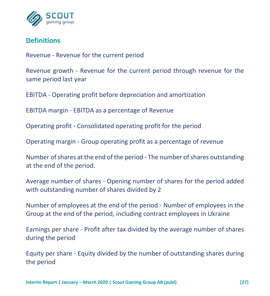

## **Definitions**

Revenue - Revenue for the current period

Revenue growth - Revenue for the current period through revenue for the same period last year

EBITDA - Operating profit before depreciation and amortization

EBITDA margin - EBITDA as a percentage of Revenue

Operating profit - Consolidated operating profit for the period

Operating margin - Group operating profit as a percentage of revenue

Number of shares at the end of the period - The number of shares outstanding at the end of the period.

Average number of shares - Opening number of shares for the period added with outstanding number of shares divided by 2

Number of employees at the end of the period - Number of employees in the Group at the end of the period, including contract employees in Ukraine

Earnings per share - Profit after tax divided by the average number of shares during the period

Equity per share - Equity divided by the number of outstanding shares during the period